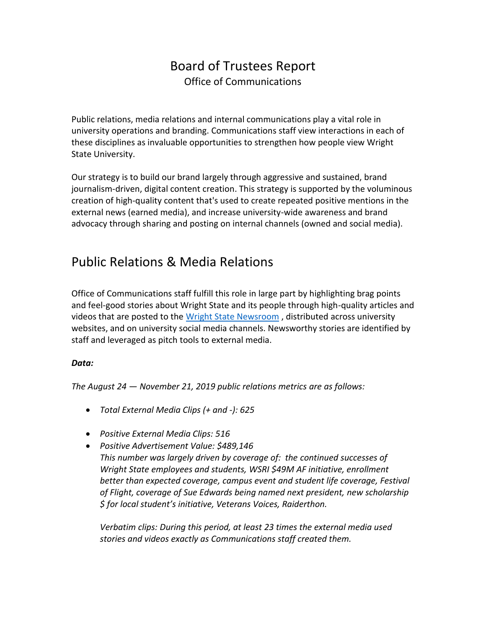## Board of Trustees Report Office of Communications

Public relations, media relations and internal communications play a vital role in university operations and branding. Communications staff view interactions in each of these disciplines as invaluable opportunities to strengthen how people view Wright State University.

Our strategy is to build our brand largely through aggressive and sustained, brand journalism-driven, digital content creation. This strategy is supported by the voluminous creation of high-quality content that's used to create repeated positive mentions in the external news (earned media), and increase university-wide awareness and brand advocacy through sharing and posting on internal channels (owned and social media).

## Public Relations & Media Relations

Office of Communications staff fulfill this role in large part by highlighting brag points and feel-good stories about Wright State and its people through high-quality articles and videos that are posted to the [Wright State Newsroom](http://www.wright.edu/news), distributed across university websites, and on university social media channels. Newsworthy stories are identified by staff and leveraged as pitch tools to external media.

### *Data:*

*The August 24 — November 21, 2019 public relations metrics are as follows:*

- *Total External Media Clips (+ and -): 625*
- *Positive External Media Clips: 516*
- *Positive Advertisement Value: \$489,146 This number was largely driven by coverage of: the continued successes of Wright State employees and students, WSRI \$49M AF initiative, enrollment*  better than expected coverage, campus event and student life coverage, Festival *of Flight, coverage of Sue Edwards being named next president, new scholarship \$ for local student's initiative, Veterans Voices, Raiderthon.*

*Verbatim clips: During this period, at least 23 times the external media used stories and videos exactly as Communications staff created them.*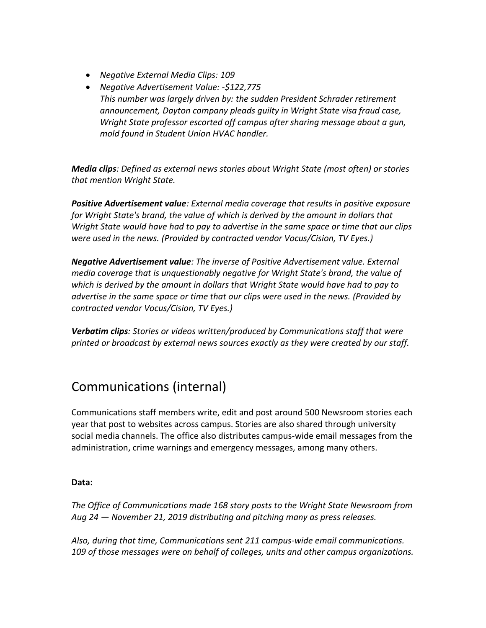- *Negative External Media Clips: 109*
- *Negative Advertisement Value: -\$122,775 This number was largely driven by: the sudden President Schrader retirement announcement, Dayton company pleads guilty in Wright State visa fraud case, Wright State professor escorted off campus after sharing message about a gun, mold found in Student Union HVAC handler.*

*Media clips: Defined as external news stories about Wright State (most often) or stories that mention Wright State.*

*Positive Advertisement value: External media coverage that results in positive exposure for Wright State's brand, the value of which is derived by the amount in dollars that Wright State would have had to pay to advertise in the same space or time that our clips were used in the news. (Provided by contracted vendor Vocus/Cision, TV Eyes.)*

*Negative Advertisement value: The inverse of Positive Advertisement value. External media coverage that is unquestionably negative for Wright State's brand, the value of which is derived by the amount in dollars that Wright State would have had to pay to advertise in the same space or time that our clips were used in the news. (Provided by contracted vendor Vocus/Cision, TV Eyes.)*

*Verbatim clips: Stories or videos written/produced by Communications staff that were printed or broadcast by external news sources exactly as they were created by our staff.*

# Communications (internal)

Communications staff members write, edit and post around 500 Newsroom stories each year that post to websites across campus. Stories are also shared through university social media channels. The office also distributes campus-wide email messages from the administration, crime warnings and emergency messages, among many others.

### **Data:**

*The Office of Communications made 168 story posts to the Wright State Newsroom from Aug 24 — November 21, 2019 distributing and pitching many as press releases.*

*Also, during that time, Communications sent 211 campus-wide email communications. 109 of those messages were on behalf of colleges, units and other campus organizations.*